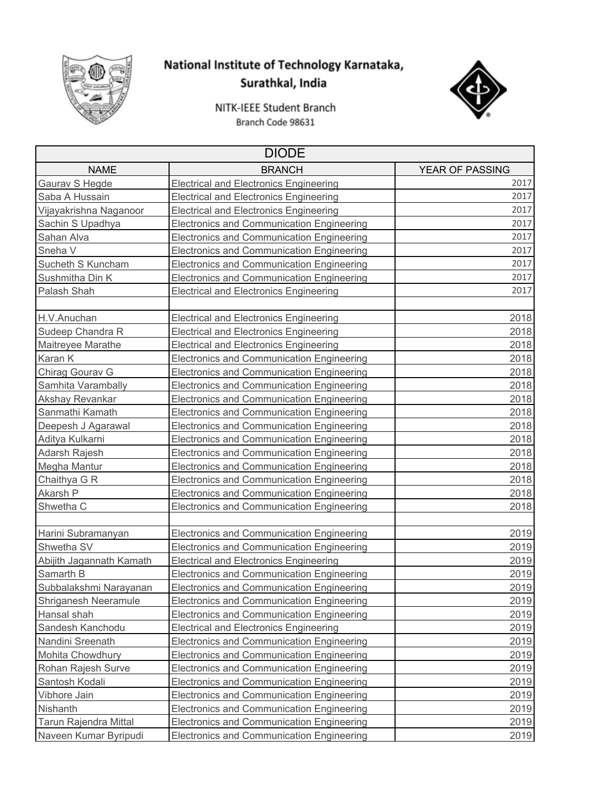

## National Institute of Technology Karnataka, Surathkal, India



NITK-IEEE Student Branch Branch Code 98631

| <b>DIODE</b>             |                                                  |                 |  |
|--------------------------|--------------------------------------------------|-----------------|--|
| <b>NAME</b>              | <b>BRANCH</b>                                    | YEAR OF PASSING |  |
| Gaurav S Hegde           | <b>Electrical and Electronics Engineering</b>    | 2017            |  |
| Saba A Hussain           | <b>Electrical and Electronics Engineering</b>    | 2017            |  |
| Vijayakrishna Naganoor   | <b>Electrical and Electronics Engineering</b>    | 2017            |  |
| Sachin S Upadhya         | <b>Electronics and Communication Engineering</b> | 2017            |  |
| Sahan Alva               | Electronics and Communication Engineering        | 2017            |  |
| Sneha V                  | Electronics and Communication Engineering        | 2017            |  |
| Sucheth S Kuncham        | <b>Electronics and Communication Engineering</b> | 2017            |  |
| Sushmitha Din K          | Electronics and Communication Engineering        | 2017            |  |
| Palash Shah              | <b>Electrical and Electronics Engineering</b>    | 2017            |  |
| H.V.Anuchan              | <b>Electrical and Electronics Engineering</b>    | 2018            |  |
| Sudeep Chandra R         | <b>Electrical and Electronics Engineering</b>    | 2018            |  |
| Maitreyee Marathe        | <b>Electrical and Electronics Engineering</b>    | 2018            |  |
| Karan K                  | Electronics and Communication Engineering        | 2018            |  |
| Chirag Gourav G          | <b>Electronics and Communication Engineering</b> | 2018            |  |
| Samhita Varambally       | Electronics and Communication Engineering        | 2018            |  |
| Akshay Revankar          | Electronics and Communication Engineering        | 2018            |  |
| Sanmathi Kamath          | Electronics and Communication Engineering        | 2018            |  |
| Deepesh J Agarawal       | Electronics and Communication Engineering        | 2018            |  |
| Aditya Kulkarni          | Electronics and Communication Engineering        | 2018            |  |
| Adarsh Rajesh            | Electronics and Communication Engineering        | 2018            |  |
| Megha Mantur             | Electronics and Communication Engineering        | 2018            |  |
| Chaithya G R             | Electronics and Communication Engineering        | 2018            |  |
| Akarsh P                 | Electronics and Communication Engineering        | 2018            |  |
| Shwetha C                | <b>Electronics and Communication Engineering</b> | 2018            |  |
|                          |                                                  |                 |  |
| Harini Subramanyan       | <b>Electronics and Communication Engineering</b> | 2019            |  |
| Shwetha SV               | <b>Electronics and Communication Engineering</b> | 2019            |  |
| Abijith Jagannath Kamath | <b>Electrical and Electronics Engineering</b>    | 2019            |  |
| Samarth B                | Electronics and Communication Engineering        | 2019            |  |
| Subbalakshmi Narayanan   | Electronics and Communication Engineering        | 2019            |  |
| Shriganesh Neeramule     | <b>Electronics and Communication Engineering</b> | 2019            |  |
| Hansal shah              | <b>Electronics and Communication Engineering</b> | 2019            |  |
| Sandesh Kanchodu         | <b>Electrical and Electronics Engineering</b>    | 2019            |  |
| Nandini Sreenath         | <b>Electronics and Communication Engineering</b> | 2019            |  |
| Mohita Chowdhury         | <b>Electronics and Communication Engineering</b> | 2019            |  |
| Rohan Rajesh Surve       | <b>Electronics and Communication Engineering</b> | 2019            |  |
| Santosh Kodali           | <b>Electronics and Communication Engineering</b> | 2019            |  |
| Vibhore Jain             | <b>Electronics and Communication Engineering</b> | 2019            |  |
| Nishanth                 | <b>Electronics and Communication Engineering</b> | 2019            |  |
| Tarun Rajendra Mittal    | <b>Electronics and Communication Engineering</b> | 2019            |  |
| Naveen Kumar Byripudi    | Electronics and Communication Engineering        | 2019            |  |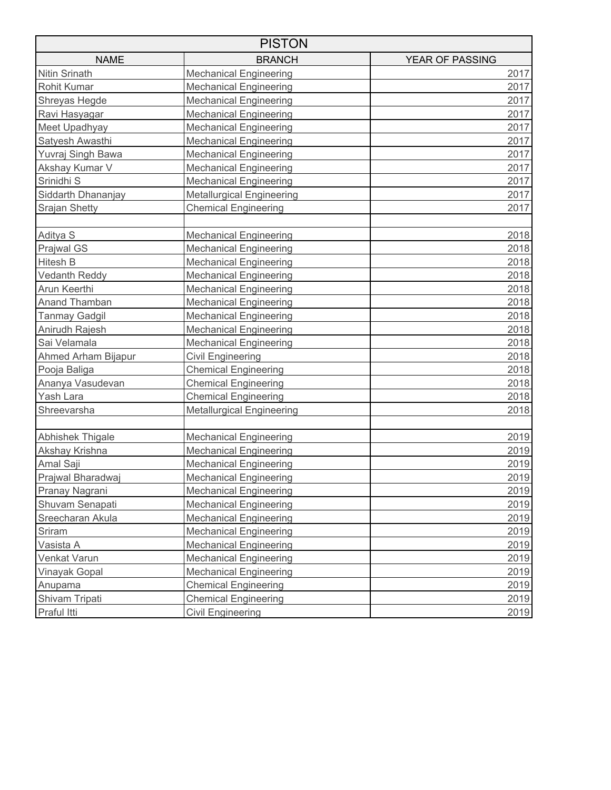| <b>PISTON</b>        |                                  |                 |  |
|----------------------|----------------------------------|-----------------|--|
| <b>NAME</b>          | <b>BRANCH</b>                    | YEAR OF PASSING |  |
| Nitin Srinath        | <b>Mechanical Engineering</b>    | 2017            |  |
| Rohit Kumar          | <b>Mechanical Engineering</b>    | 2017            |  |
| Shreyas Hegde        | <b>Mechanical Engineering</b>    | 2017            |  |
| Ravi Hasyagar        | <b>Mechanical Engineering</b>    | 2017            |  |
| Meet Upadhyay        | <b>Mechanical Engineering</b>    | 2017            |  |
| Satyesh Awasthi      | <b>Mechanical Engineering</b>    | 2017            |  |
| Yuvraj Singh Bawa    | <b>Mechanical Engineering</b>    | 2017            |  |
| Akshay Kumar V       | <b>Mechanical Engineering</b>    | 2017            |  |
| Srinidhi S           | <b>Mechanical Engineering</b>    | 2017            |  |
| Siddarth Dhananjay   | <b>Metallurgical Engineering</b> | 2017            |  |
| Srajan Shetty        | <b>Chemical Engineering</b>      | 2017            |  |
| Aditya S             | <b>Mechanical Engineering</b>    | 2018            |  |
| <b>Prajwal GS</b>    | <b>Mechanical Engineering</b>    | 2018            |  |
| Hitesh B             | <b>Mechanical Engineering</b>    | 2018            |  |
| <b>Vedanth Reddy</b> | <b>Mechanical Engineering</b>    | 2018            |  |
| Arun Keerthi         | <b>Mechanical Engineering</b>    | 2018            |  |
| Anand Thamban        | <b>Mechanical Engineering</b>    | 2018            |  |
| Tanmay Gadgil        | <b>Mechanical Engineering</b>    | 2018            |  |
| Anirudh Rajesh       | <b>Mechanical Engineering</b>    | 2018            |  |
| Sai Velamala         | <b>Mechanical Engineering</b>    | 2018            |  |
| Ahmed Arham Bijapur  | Civil Engineering                | 2018            |  |
| Pooja Baliga         | <b>Chemical Engineering</b>      | 2018            |  |
| Ananya Vasudevan     | <b>Chemical Engineering</b>      | 2018            |  |
| Yash Lara            | <b>Chemical Engineering</b>      | 2018            |  |
| Shreevarsha          | <b>Metallurgical Engineering</b> | 2018            |  |
| Abhishek Thigale     | <b>Mechanical Engineering</b>    | 2019            |  |
| Akshay Krishna       | <b>Mechanical Engineering</b>    | 2019            |  |
| Amal Saji            | <b>Mechanical Engineering</b>    | 2019            |  |
| Prajwal Bharadwaj    | <b>Mechanical Engineering</b>    | 2019            |  |
| Pranay Nagrani       | <b>Mechanical Engineering</b>    | 2019            |  |
| Shuvam Senapati      | <b>Mechanical Engineering</b>    | 2019            |  |
| Sreecharan Akula     | <b>Mechanical Engineering</b>    | 2019            |  |
| Sriram               | <b>Mechanical Engineering</b>    | 2019            |  |
| Vasista A            | <b>Mechanical Engineering</b>    | 2019            |  |
| Venkat Varun         | <b>Mechanical Engineering</b>    | 2019            |  |
| Vinayak Gopal        | <b>Mechanical Engineering</b>    | 2019            |  |
| Anupama              | <b>Chemical Engineering</b>      | 2019            |  |
| Shivam Tripati       | <b>Chemical Engineering</b>      | 2019            |  |
| Praful Itti          | <b>Civil Engineering</b>         | 2019            |  |